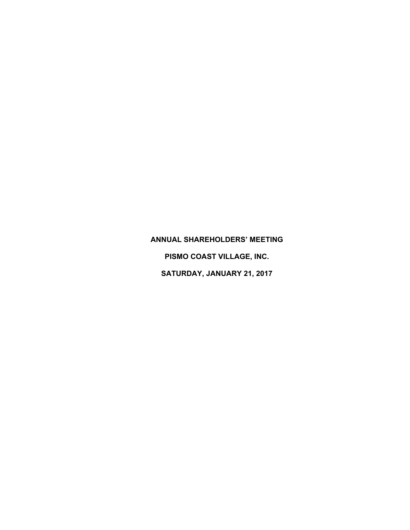## **ANNUAL SHAREHOLDERS' MEETING**

**PISMO COAST VILLAGE, INC.** 

**SATURDAY, JANUARY 21, 2017**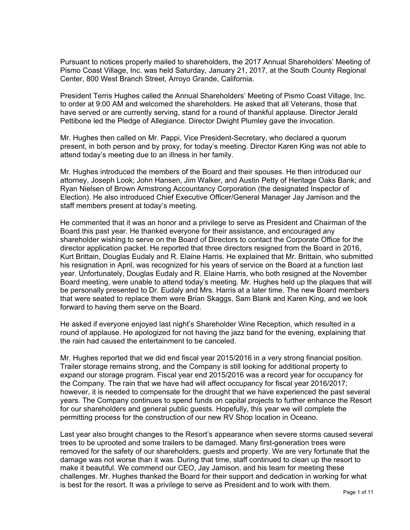Pursuant to notices properly mailed to shareholders, the 2017 Annual Shareholders' Meeting of Pismo Coast Village, Inc. was held Saturday, January 21, 2017, at the South County Regional Center, 800 West Branch Street, Arroyo Grande, California.

President Terris Hughes called the Annual Shareholders' Meeting of Pismo Coast Village, Inc. to order at 9:00 AM and welcomed the shareholders. He asked that all Veterans, those that have served or are currently serving, stand for a round of thankful applause. Director Jerald Pettibone led the Pledge of Allegiance. Director Dwight Plumley gave the invocation.

Mr. Hughes then called on Mr. Pappi, Vice President-Secretary, who declared a quorum present, in both person and by proxy, for today's meeting. Director Karen King was not able to attend today's meeting due to an illness in her family.

Mr. Hughes introduced the members of the Board and their spouses. He then introduced our attorney, Joseph Look; John Hansen, Jim Walker, and Austin Petty of Heritage Oaks Bank; and Ryan Nielsen of Brown Armstrong Accountancy Corporation (the designated Inspector of Election). He also introduced Chief Executive Officer/General Manager Jay Jamison and the staff members present at today's meeting.

He commented that it was an honor and a privilege to serve as President and Chairman of the Board this past year. He thanked everyone for their assistance, and encouraged any shareholder wishing to serve on the Board of Directors to contact the Corporate Office for the director application packet. He reported that three directors resigned from the Board in 2016, Kurt Brittain, Douglas Eudaly and R. Elaine Harris. He explained that Mr. Brittain, who submitted his resignation in April, was recognized for his years of service on the Board at a function last year. Unfortunately, Douglas Eudaly and R. Elaine Harris, who both resigned at the November Board meeting, were unable to attend today's meeting. Mr. Hughes held up the plaques that will be personally presented to Dr. Eudaly and Mrs. Harris at a later time. The new Board members that were seated to replace them were Brian Skaggs, Sam Blank and Karen King, and we look forward to having them serve on the Board.

He asked if everyone enjoyed last night's Shareholder Wine Reception, which resulted in a round of applause. He apologized for not having the jazz band for the evening, explaining that the rain had caused the entertainment to be canceled.

Mr. Hughes reported that we did end fiscal year 2015/2016 in a very strong financial position. Trailer storage remains strong, and the Company is still looking for additional property to expand our storage program. Fiscal year end 2015/2016 was a record year for occupancy for the Company. The rain that we have had will affect occupancy for fiscal year 2016/2017; however, it is needed to compensate for the drought that we have experienced the past several years. The Company continues to spend funds on capital projects to further enhance the Resort for our shareholders and general public guests. Hopefully, this year we will complete the permitting process for the construction of our new RV Shop location in Oceano.

Last year also brought changes to the Resort's appearance when severe storms caused several trees to be uprooted and some trailers to be damaged. Many first-generation trees were removed for the safety of our shareholders, guests and property. We are very fortunate that the damage was not worse than it was. During that time, staff continued to clean up the resort to make it beautiful. We commend our CEO, Jay Jamison, and his team for meeting these challenges. Mr. Hughes thanked the Board for their support and dedication in working for what is best for the resort. It was a privilege to serve as President and to work with them.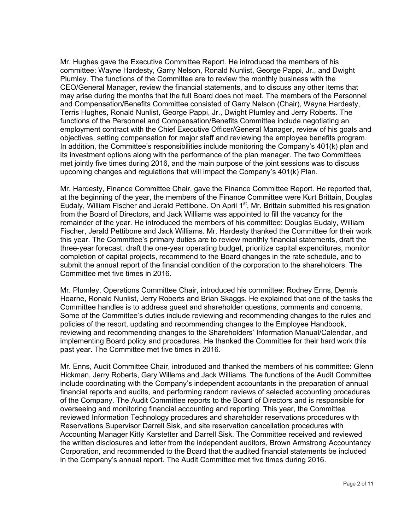Mr. Hughes gave the Executive Committee Report. He introduced the members of his committee: Wayne Hardesty, Garry Nelson, Ronald Nunlist, George Pappi, Jr., and Dwight Plumley. The functions of the Committee are to review the monthly business with the CEO/General Manager, review the financial statements, and to discuss any other items that may arise during the months that the full Board does not meet. The members of the Personnel and Compensation/Benefits Committee consisted of Garry Nelson (Chair), Wayne Hardesty, Terris Hughes, Ronald Nunlist, George Pappi, Jr., Dwight Plumley and Jerry Roberts. The functions of the Personnel and Compensation/Benefits Committee include negotiating an employment contract with the Chief Executive Officer/General Manager, review of his goals and objectives, setting compensation for major staff and reviewing the employee benefits program. In addition, the Committee's responsibilities include monitoring the Company's 401(k) plan and its investment options along with the performance of the plan manager. The two Committees met jointly five times during 2016, and the main purpose of the joint sessions was to discuss upcoming changes and regulations that will impact the Company's 401(k) Plan.

Mr. Hardesty, Finance Committee Chair, gave the Finance Committee Report. He reported that, at the beginning of the year, the members of the Finance Committee were Kurt Brittain, Douglas Eudaly, William Fischer and Jerald Pettibone. On April 1<sup>st</sup>, Mr. Brittain submitted his resignation from the Board of Directors, and Jack Williams was appointed to fill the vacancy for the remainder of the year. He introduced the members of his committee: Douglas Eudaly, William Fischer, Jerald Pettibone and Jack Williams. Mr. Hardesty thanked the Committee for their work this year. The Committee's primary duties are to review monthly financial statements, draft the three-year forecast, draft the one-year operating budget, prioritize capital expenditures, monitor completion of capital projects, recommend to the Board changes in the rate schedule, and to submit the annual report of the financial condition of the corporation to the shareholders. The Committee met five times in 2016.

Mr. Plumley, Operations Committee Chair, introduced his committee: Rodney Enns, Dennis Hearne, Ronald Nunlist, Jerry Roberts and Brian Skaggs. He explained that one of the tasks the Committee handles is to address guest and shareholder questions, comments and concerns. Some of the Committee's duties include reviewing and recommending changes to the rules and policies of the resort, updating and recommending changes to the Employee Handbook, reviewing and recommending changes to the Shareholders' Information Manual/Calendar, and implementing Board policy and procedures. He thanked the Committee for their hard work this past year. The Committee met five times in 2016.

Mr. Enns, Audit Committee Chair, introduced and thanked the members of his committee: Glenn Hickman, Jerry Roberts, Gary Willems and Jack Williams. The functions of the Audit Committee include coordinating with the Company's independent accountants in the preparation of annual financial reports and audits, and performing random reviews of selected accounting procedures of the Company. The Audit Committee reports to the Board of Directors and is responsible for overseeing and monitoring financial accounting and reporting. This year, the Committee reviewed Information Technology procedures and shareholder reservations procedures with Reservations Supervisor Darrell Sisk, and site reservation cancellation procedures with Accounting Manager Kitty Karstetter and Darrell Sisk. The Committee received and reviewed the written disclosures and letter from the independent auditors, Brown Armstrong Accountancy Corporation, and recommended to the Board that the audited financial statements be included in the Company's annual report. The Audit Committee met five times during 2016.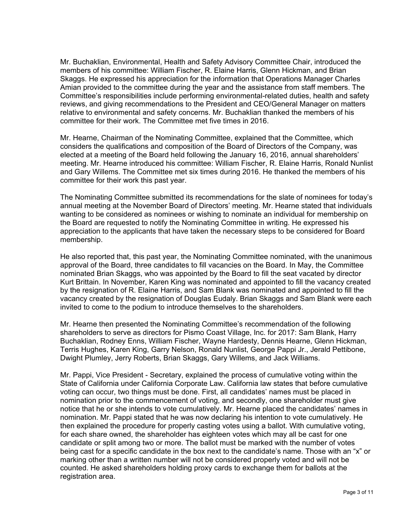Mr. Buchaklian, Environmental, Health and Safety Advisory Committee Chair, introduced the members of his committee: William Fischer, R. Elaine Harris, Glenn Hickman, and Brian Skaggs. He expressed his appreciation for the information that Operations Manager Charles Amian provided to the committee during the year and the assistance from staff members. The Committee's responsibilities include performing environmental-related duties, health and safety reviews, and giving recommendations to the President and CEO/General Manager on matters relative to environmental and safety concerns. Mr. Buchaklian thanked the members of his committee for their work. The Committee met five times in 2016.

Mr. Hearne, Chairman of the Nominating Committee, explained that the Committee, which considers the qualifications and composition of the Board of Directors of the Company, was elected at a meeting of the Board held following the January 16, 2016, annual shareholders' meeting. Mr. Hearne introduced his committee: William Fischer, R. Elaine Harris, Ronald Nunlist and Gary Willems. The Committee met six times during 2016. He thanked the members of his committee for their work this past year.

The Nominating Committee submitted its recommendations for the slate of nominees for today's annual meeting at the November Board of Directors' meeting. Mr. Hearne stated that individuals wanting to be considered as nominees or wishing to nominate an individual for membership on the Board are requested to notify the Nominating Committee in writing. He expressed his appreciation to the applicants that have taken the necessary steps to be considered for Board membership.

He also reported that, this past year, the Nominating Committee nominated, with the unanimous approval of the Board, three candidates to fill vacancies on the Board. In May, the Committee nominated Brian Skaggs, who was appointed by the Board to fill the seat vacated by director Kurt Brittain. In November, Karen King was nominated and appointed to fill the vacancy created by the resignation of R. Elaine Harris, and Sam Blank was nominated and appointed to fill the vacancy created by the resignation of Douglas Eudaly. Brian Skaggs and Sam Blank were each invited to come to the podium to introduce themselves to the shareholders.

Mr. Hearne then presented the Nominating Committee's recommendation of the following shareholders to serve as directors for Pismo Coast Village, Inc. for 2017: Sam Blank, Harry Buchaklian, Rodney Enns, William Fischer, Wayne Hardesty, Dennis Hearne, Glenn Hickman, Terris Hughes, Karen King, Garry Nelson, Ronald Nunlist, George Pappi Jr., Jerald Pettibone, Dwight Plumley, Jerry Roberts, Brian Skaggs, Gary Willems, and Jack Williams.

Mr. Pappi, Vice President - Secretary, explained the process of cumulative voting within the State of California under California Corporate Law. California law states that before cumulative voting can occur, two things must be done. First, all candidates' names must be placed in nomination prior to the commencement of voting, and secondly, one shareholder must give notice that he or she intends to vote cumulatively. Mr. Hearne placed the candidates' names in nomination. Mr. Pappi stated that he was now declaring his intention to vote cumulatively. He then explained the procedure for properly casting votes using a ballot. With cumulative voting, for each share owned, the shareholder has eighteen votes which may all be cast for one candidate or split among two or more. The ballot must be marked with the number of votes being cast for a specific candidate in the box next to the candidate's name. Those with an "x" or marking other than a written number will not be considered properly voted and will not be counted. He asked shareholders holding proxy cards to exchange them for ballots at the registration area.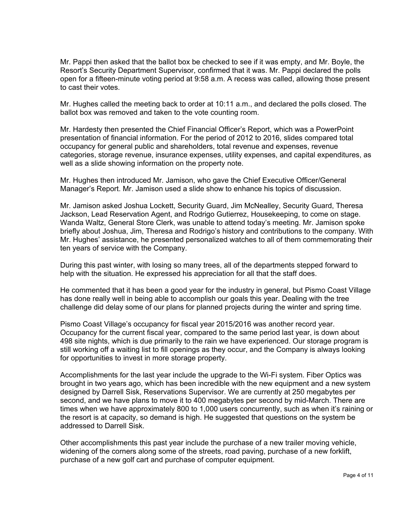Mr. Pappi then asked that the ballot box be checked to see if it was empty, and Mr. Boyle, the Resort's Security Department Supervisor, confirmed that it was. Mr. Pappi declared the polls open for a fifteen-minute voting period at 9:58 a.m. A recess was called, allowing those present to cast their votes.

Mr. Hughes called the meeting back to order at 10:11 a.m., and declared the polls closed. The ballot box was removed and taken to the vote counting room.

Mr. Hardesty then presented the Chief Financial Officer's Report, which was a PowerPoint presentation of financial information. For the period of 2012 to 2016, slides compared total occupancy for general public and shareholders, total revenue and expenses, revenue categories, storage revenue, insurance expenses, utility expenses, and capital expenditures, as well as a slide showing information on the property note.

Mr. Hughes then introduced Mr. Jamison, who gave the Chief Executive Officer/General Manager's Report. Mr. Jamison used a slide show to enhance his topics of discussion.

Mr. Jamison asked Joshua Lockett, Security Guard, Jim McNealley, Security Guard, Theresa Jackson, Lead Reservation Agent, and Rodrigo Gutierrez, Housekeeping, to come on stage. Wanda Waltz, General Store Clerk, was unable to attend today's meeting. Mr. Jamison spoke briefly about Joshua, Jim, Theresa and Rodrigo's history and contributions to the company. With Mr. Hughes' assistance, he presented personalized watches to all of them commemorating their ten years of service with the Company.

During this past winter, with losing so many trees, all of the departments stepped forward to help with the situation. He expressed his appreciation for all that the staff does.

He commented that it has been a good year for the industry in general, but Pismo Coast Village has done really well in being able to accomplish our goals this year. Dealing with the tree challenge did delay some of our plans for planned projects during the winter and spring time.

Pismo Coast Village's occupancy for fiscal year 2015/2016 was another record year. Occupancy for the current fiscal year, compared to the same period last year, is down about 498 site nights, which is due primarily to the rain we have experienced. Our storage program is still working off a waiting list to fill openings as they occur, and the Company is always looking for opportunities to invest in more storage property.

Accomplishments for the last year include the upgrade to the Wi-Fi system. Fiber Optics was brought in two years ago, which has been incredible with the new equipment and a new system designed by Darrell Sisk, Reservations Supervisor. We are currently at 250 megabytes per second, and we have plans to move it to 400 megabytes per second by mid-March. There are times when we have approximately 800 to 1,000 users concurrently, such as when it's raining or the resort is at capacity, so demand is high. He suggested that questions on the system be addressed to Darrell Sisk.

Other accomplishments this past year include the purchase of a new trailer moving vehicle, widening of the corners along some of the streets, road paving, purchase of a new forklift, purchase of a new golf cart and purchase of computer equipment.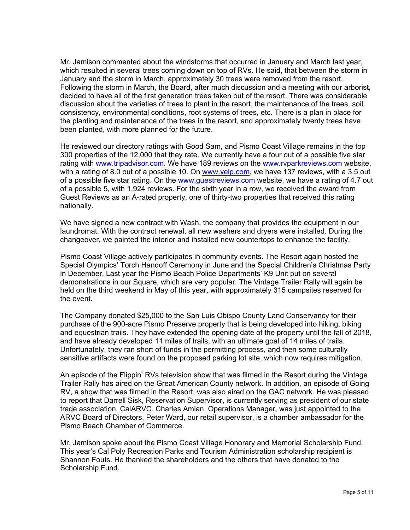Mr. Jamison commented about the windstorms that occurred in January and March last year, which resulted in several trees coming down on top of RVs. He said, that between the storm in January and the storm in March, approximately 30 trees were removed from the resort. Following the storm in March, the Board, after much discussion and a meeting with our arborist, decided to have all of the first generation trees taken out of the resort. There was considerable discussion about the varieties of trees to plant in the resort, the maintenance of the trees, soil consistency, environmental conditions, root systems of trees, etc. There is a plan in place for the planting and maintenance of the trees in the resort, and approximately twenty trees have been planted, with more planned for the future.

He reviewed our directory ratings with Good Sam, and Pismo Coast Village remains in the top 300 properties of the 12,000 that they rate. We currently have a four out of a possible five star rating with [www.tripadvisor.com.](http://www.tripadvisor.com/) We have 189 reviews on the [www.rvparkreviews.com](http://www.rvparkreviews.com/) website, with a rating of 8.0 out of a possible 10. On [www.yelp.com,](http://www.yelp.com/) we have 137 reviews, with a 3.5 out of a possible five star rating. On the www.questreviews.com website, we have a rating of 4.7 out of a possible 5, with 1,924 reviews. For the sixth year in a row, we received the award from Guest Reviews as an A-rated property, one of thirty-two properties that received this rating nationally.

We have signed a new contract with Wash, the company that provides the equipment in our laundromat. With the contract renewal, all new washers and dryers were installed. During the changeover, we painted the interior and installed new countertops to enhance the facility.

Pismo Coast Village actively participates in community events. The Resort again hosted the Special Olympics' Torch Handoff Ceremony in June and the Special Children's Christmas Party in December. Last year the Pismo Beach Police Departments' K9 Unit put on several demonstrations in our Square, which are very popular. The Vintage Trailer Rally will again be held on the third weekend in May of this year, with approximately 315 campsites reserved for the event.

The Company donated \$25,000 to the San Luis Obispo County Land Conservancy for their purchase of the 900-acre Pismo Preserve property that is being developed into hiking, biking and equestrian trails. They have extended the opening date of the property until the fall of 2018, and have already developed 11 miles of trails, with an ultimate goal of 14 miles of trails. Unfortunately, they ran short of funds in the permitting process, and then some culturally sensitive artifacts were found on the proposed parking lot site, which now requires mitigation.

An episode of the Flippin' RVs television show that was filmed in the Resort during the Vintage Trailer Rally has aired on the Great American County network. In addition, an episode of Going RV, a show that was filmed in the Resort, was also aired on the GAC network. He was pleased to report that Darrell Sisk, Reservation Supervisor, is currently serving as president of our state trade association, CalARVC. Charles Amian, Operations Manager, was just appointed to the ARVC Board of Directors. Peter Ward, our retail supervisor, is a chamber ambassador for the Pismo Beach Chamber of Commerce.

Mr. Jamison spoke about the Pismo Coast Village Honorary and Memorial Scholarship Fund. This year's Cal Poly Recreation Parks and Tourism Administration scholarship recipient is Shannon Fouts. He thanked the shareholders and the others that have donated to the Scholarship Fund.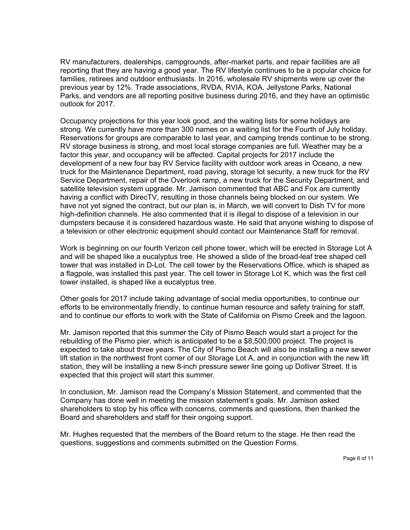RV manufacturers, dealerships, campgrounds, after-market parts, and repair facilities are all reporting that they are having a good year. The RV lifestyle continues to be a popular choice for families, retirees and outdoor enthusiasts. In 2016, wholesale RV shipments were up over the previous year by 12%. Trade associations, RVDA, RVIA, KOA, Jellystone Parks, National Parks, and vendors are all reporting positive business during 2016, and they have an optimistic outlook for 2017.

Occupancy projections for this year look good, and the waiting lists for some holidays are strong. We currently have more than 300 names on a waiting list for the Fourth of July holiday. Reservations for groups are comparable to last year, and camping trends continue to be strong. RV storage business is strong, and most local storage companies are full. Weather may be a factor this year, and occupancy will be affected. Capital projects for 2017 include the development of a new four bay RV Service facility with outdoor work areas in Oceano, a new truck for the Maintenance Department, road paving, storage lot security, a new truck for the RV Service Department, repair of the Overlook ramp, a new truck for the Security Department, and satellite television system upgrade. Mr. Jamison commented that ABC and Fox are currently having a conflict with DirecTV, resulting in those channels being blocked on our system. We have not yet signed the contract, but our plan is, in March, we will convert to Dish TV for more high-definition channels. He also commented that it is illegal to dispose of a television in our dumpsters because it is considered hazardous waste. He said that anyone wishing to dispose of a television or other electronic equipment should contact our Maintenance Staff for removal.

Work is beginning on our fourth Verizon cell phone tower, which will be erected in Storage Lot A and will be shaped like a eucalyptus tree. He showed a slide of the broad-leaf tree shaped cell tower that was installed in D-Lot. The cell tower by the Reservations Office, which is shaped as a flagpole, was installed this past year. The cell tower in Storage Lot K, which was the first cell tower installed, is shaped like a eucalyptus tree.

Other goals for 2017 include taking advantage of social media opportunities, to continue our efforts to be environmentally friendly, to continue human resource and safety training for staff, and to continue our efforts to work with the State of California on Pismo Creek and the lagoon.

Mr. Jamison reported that this summer the City of Pismo Beach would start a project for the rebuilding of the Pismo pier, which is anticipated to be a \$8,500,000 project. The project is expected to take about three years. The City of Pismo Beach will also be installing a new sewer lift station in the northwest front corner of our Storage Lot A, and in conjunction with the new lift station, they will be installing a new 8-inch pressure sewer line going up Dolliver Street. It is expected that this project will start this summer.

In conclusion, Mr. Jamison read the Company's Mission Statement, and commented that the Company has done well in meeting the mission statement's goals. Mr. Jamison asked shareholders to stop by his office with concerns, comments and questions, then thanked the Board and shareholders and staff for their ongoing support.

Mr. Hughes requested that the members of the Board return to the stage. He then read the questions, suggestions and comments submitted on the Question Forms.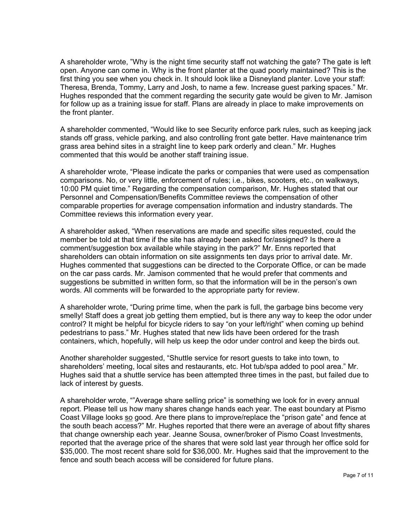A shareholder wrote, "Why is the night time security staff not watching the gate? The gate is left open. Anyone can come in. Why is the front planter at the quad poorly maintained? This is the first thing you see when you check in. It should look like a Disneyland planter. Love your staff: Theresa, Brenda, Tommy, Larry and Josh, to name a few. Increase guest parking spaces." Mr. Hughes responded that the comment regarding the security gate would be given to Mr. Jamison for follow up as a training issue for staff. Plans are already in place to make improvements on the front planter.

A shareholder commented, "Would like to see Security enforce park rules, such as keeping jack stands off grass, vehicle parking, and also controlling front gate better. Have maintenance trim grass area behind sites in a straight line to keep park orderly and clean." Mr. Hughes commented that this would be another staff training issue.

A shareholder wrote, "Please indicate the parks or companies that were used as compensation comparisons. No, or very little, enforcement of rules; i.e., bikes, scooters, etc., on walkways, 10:00 PM quiet time." Regarding the compensation comparison, Mr. Hughes stated that our Personnel and Compensation/Benefits Committee reviews the compensation of other comparable properties for average compensation information and industry standards. The Committee reviews this information every year.

A shareholder asked, "When reservations are made and specific sites requested, could the member be told at that time if the site has already been asked for/assigned? Is there a comment/suggestion box available while staying in the park?" Mr. Enns reported that shareholders can obtain information on site assignments ten days prior to arrival date. Mr. Hughes commented that suggestions can be directed to the Corporate Office, or can be made on the car pass cards. Mr. Jamison commented that he would prefer that comments and suggestions be submitted in written form, so that the information will be in the person's own words. All comments will be forwarded to the appropriate party for review.

A shareholder wrote, "During prime time, when the park is full, the garbage bins become very smelly! Staff does a great job getting them emptied, but is there any way to keep the odor under control? It might be helpful for bicycle riders to say "on your left/right" when coming up behind pedestrians to pass." Mr. Hughes stated that new lids have been ordered for the trash containers, which, hopefully, will help us keep the odor under control and keep the birds out.

Another shareholder suggested, "Shuttle service for resort guests to take into town, to shareholders' meeting, local sites and restaurants, etc. Hot tub/spa added to pool area." Mr. Hughes said that a shuttle service has been attempted three times in the past, but failed due to lack of interest by guests.

A shareholder wrote, ""Average share selling price" is something we look for in every annual report. Please tell us how many shares change hands each year. The east boundary at Pismo Coast Village looks so good. Are there plans to improve/replace the "prison gate" and fence at the south beach access?" Mr. Hughes reported that there were an average of about fifty shares that change ownership each year. Jeanne Sousa, owner/broker of Pismo Coast Investments, reported that the average price of the shares that were sold last year through her office sold for \$35,000. The most recent share sold for \$36,000. Mr. Hughes said that the improvement to the fence and south beach access will be considered for future plans.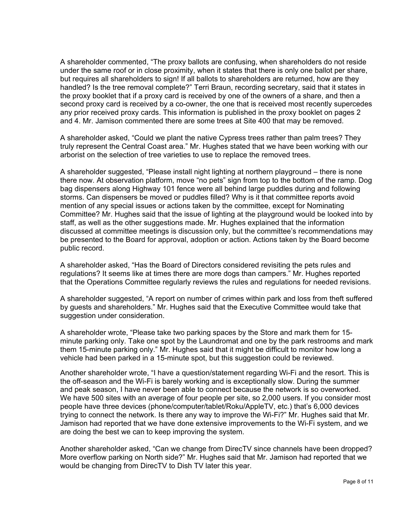A shareholder commented, "The proxy ballots are confusing, when shareholders do not reside under the same roof or in close proximity, when it states that there is only one ballot per share, but requires all shareholders to sign! If all ballots to shareholders are returned, how are they handled? Is the tree removal complete?" Terri Braun, recording secretary, said that it states in the proxy booklet that if a proxy card is received by one of the owners of a share, and then a second proxy card is received by a co-owner, the one that is received most recently supercedes any prior received proxy cards. This information is published in the proxy booklet on pages 2 and 4. Mr. Jamison commented there are some trees at Site 400 that may be removed.

A shareholder asked, "Could we plant the native Cypress trees rather than palm trees? They truly represent the Central Coast area." Mr. Hughes stated that we have been working with our arborist on the selection of tree varieties to use to replace the removed trees.

A shareholder suggested, "Please install night lighting at northern playground – there is none there now. At observation platform, move "no pets" sign from top to the bottom of the ramp. Dog bag dispensers along Highway 101 fence were all behind large puddles during and following storms. Can dispensers be moved or puddles filled? Why is it that committee reports avoid mention of any special issues or actions taken by the committee, except for Nominating Committee? Mr. Hughes said that the issue of lighting at the playground would be looked into by staff, as well as the other suggestions made. Mr. Hughes explained that the information discussed at committee meetings is discussion only, but the committee's recommendations may be presented to the Board for approval, adoption or action. Actions taken by the Board become public record.

A shareholder asked, "Has the Board of Directors considered revisiting the pets rules and regulations? It seems like at times there are more dogs than campers." Mr. Hughes reported that the Operations Committee regularly reviews the rules and regulations for needed revisions.

A shareholder suggested, "A report on number of crimes within park and loss from theft suffered by guests and shareholders." Mr. Hughes said that the Executive Committee would take that suggestion under consideration.

A shareholder wrote, "Please take two parking spaces by the Store and mark them for 15 minute parking only. Take one spot by the Laundromat and one by the park restrooms and mark them 15-minute parking only." Mr. Hughes said that it might be difficult to monitor how long a vehicle had been parked in a 15-minute spot, but this suggestion could be reviewed.

Another shareholder wrote, "I have a question/statement regarding Wi-Fi and the resort. This is the off-season and the Wi-Fi is barely working and is exceptionally slow. During the summer and peak season, I have never been able to connect because the network is so overworked. We have 500 sites with an average of four people per site, so 2,000 users. If you consider most people have three devices (phone/computer/tablet/Roku/AppleTV, etc.) that's 6,000 devices trying to connect the network. Is there any way to improve the Wi-Fi?" Mr. Hughes said that Mr. Jamison had reported that we have done extensive improvements to the Wi-Fi system, and we are doing the best we can to keep improving the system.

Another shareholder asked, "Can we change from DirecTV since channels have been dropped? More overflow parking on North side?" Mr. Hughes said that Mr. Jamison had reported that we would be changing from DirecTV to Dish TV later this year.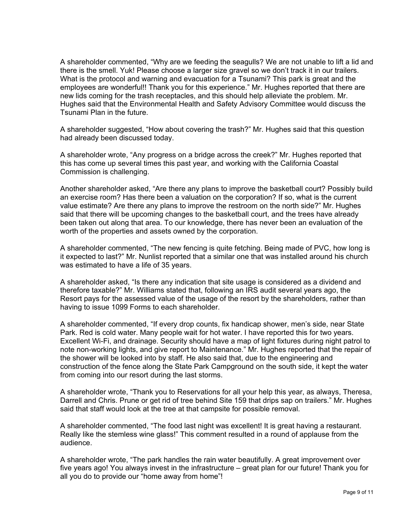A shareholder commented, "Why are we feeding the seagulls? We are not unable to lift a lid and there is the smell. Yuk! Please choose a larger size gravel so we don't track it in our trailers. What is the protocol and warning and evacuation for a Tsunami? This park is great and the employees are wonderful!! Thank you for this experience." Mr. Hughes reported that there are new lids coming for the trash receptacles, and this should help alleviate the problem. Mr. Hughes said that the Environmental Health and Safety Advisory Committee would discuss the Tsunami Plan in the future.

A shareholder suggested, "How about covering the trash?" Mr. Hughes said that this question had already been discussed today.

A shareholder wrote, "Any progress on a bridge across the creek?" Mr. Hughes reported that this has come up several times this past year, and working with the California Coastal Commission is challenging.

Another shareholder asked, "Are there any plans to improve the basketball court? Possibly build an exercise room? Has there been a valuation on the corporation? If so, what is the current value estimate? Are there any plans to improve the restroom on the north side?" Mr. Hughes said that there will be upcoming changes to the basketball court, and the trees have already been taken out along that area. To our knowledge, there has never been an evaluation of the worth of the properties and assets owned by the corporation.

A shareholder commented, "The new fencing is quite fetching. Being made of PVC, how long is it expected to last?" Mr. Nunlist reported that a similar one that was installed around his church was estimated to have a life of 35 years.

A shareholder asked, "Is there any indication that site usage is considered as a dividend and therefore taxable?" Mr. Williams stated that, following an IRS audit several years ago, the Resort pays for the assessed value of the usage of the resort by the shareholders, rather than having to issue 1099 Forms to each shareholder.

A shareholder commented, "If every drop counts, fix handicap shower, men's side, near State Park. Red is cold water. Many people wait for hot water. I have reported this for two years. Excellent Wi-Fi, and drainage. Security should have a map of light fixtures during night patrol to note non-working lights, and give report to Maintenance." Mr. Hughes reported that the repair of the shower will be looked into by staff. He also said that, due to the engineering and construction of the fence along the State Park Campground on the south side, it kept the water from coming into our resort during the last storms.

A shareholder wrote, "Thank you to Reservations for all your help this year, as always, Theresa, Darrell and Chris. Prune or get rid of tree behind Site 159 that drips sap on trailers." Mr. Hughes said that staff would look at the tree at that campsite for possible removal.

A shareholder commented, "The food last night was excellent! It is great having a restaurant. Really like the stemless wine glass!" This comment resulted in a round of applause from the audience.

A shareholder wrote, "The park handles the rain water beautifully. A great improvement over five years ago! You always invest in the infrastructure – great plan for our future! Thank you for all you do to provide our "home away from home"!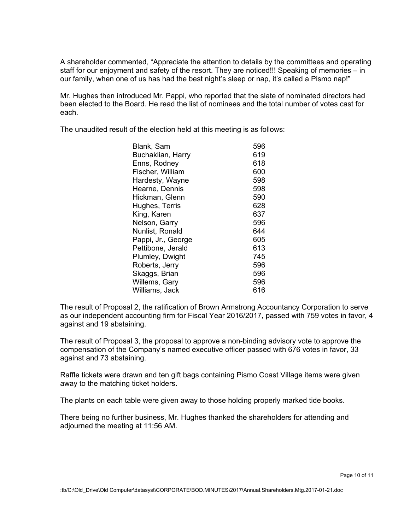A shareholder commented, "Appreciate the attention to details by the committees and operating staff for our enjoyment and safety of the resort. They are noticed!!! Speaking of memories – in our family, when one of us has had the best night's sleep or nap, it's called a Pismo nap!"

Mr. Hughes then introduced Mr. Pappi, who reported that the slate of nominated directors had been elected to the Board. He read the list of nominees and the total number of votes cast for each.

The unaudited result of the election held at this meeting is as follows:

| Blank, Sam         | 596 |
|--------------------|-----|
| Buchaklian, Harry  | 619 |
| Enns, Rodney       | 618 |
| Fischer, William   | 600 |
| Hardesty, Wayne    | 598 |
| Hearne, Dennis     | 598 |
| Hickman, Glenn     | 590 |
| Hughes, Terris     | 628 |
| King, Karen        | 637 |
| Nelson, Garry      | 596 |
| Nunlist, Ronald    | 644 |
| Pappi, Jr., George | 605 |
| Pettibone, Jerald  | 613 |
| Plumley, Dwight    | 745 |
| Roberts, Jerry     | 596 |
| Skaggs, Brian      | 596 |
| Willems, Gary      | 596 |
| Williams, Jack     | 616 |
|                    |     |

The result of Proposal 2, the ratification of Brown Armstrong Accountancy Corporation to serve as our independent accounting firm for Fiscal Year 2016/2017, passed with 759 votes in favor, 4 against and 19 abstaining.

The result of Proposal 3, the proposal to approve a non-binding advisory vote to approve the compensation of the Company's named executive officer passed with 676 votes in favor, 33 against and 73 abstaining.

Raffle tickets were drawn and ten gift bags containing Pismo Coast Village items were given away to the matching ticket holders.

The plants on each table were given away to those holding properly marked tide books.

There being no further business, Mr. Hughes thanked the shareholders for attending and adjourned the meeting at 11:56 AM.